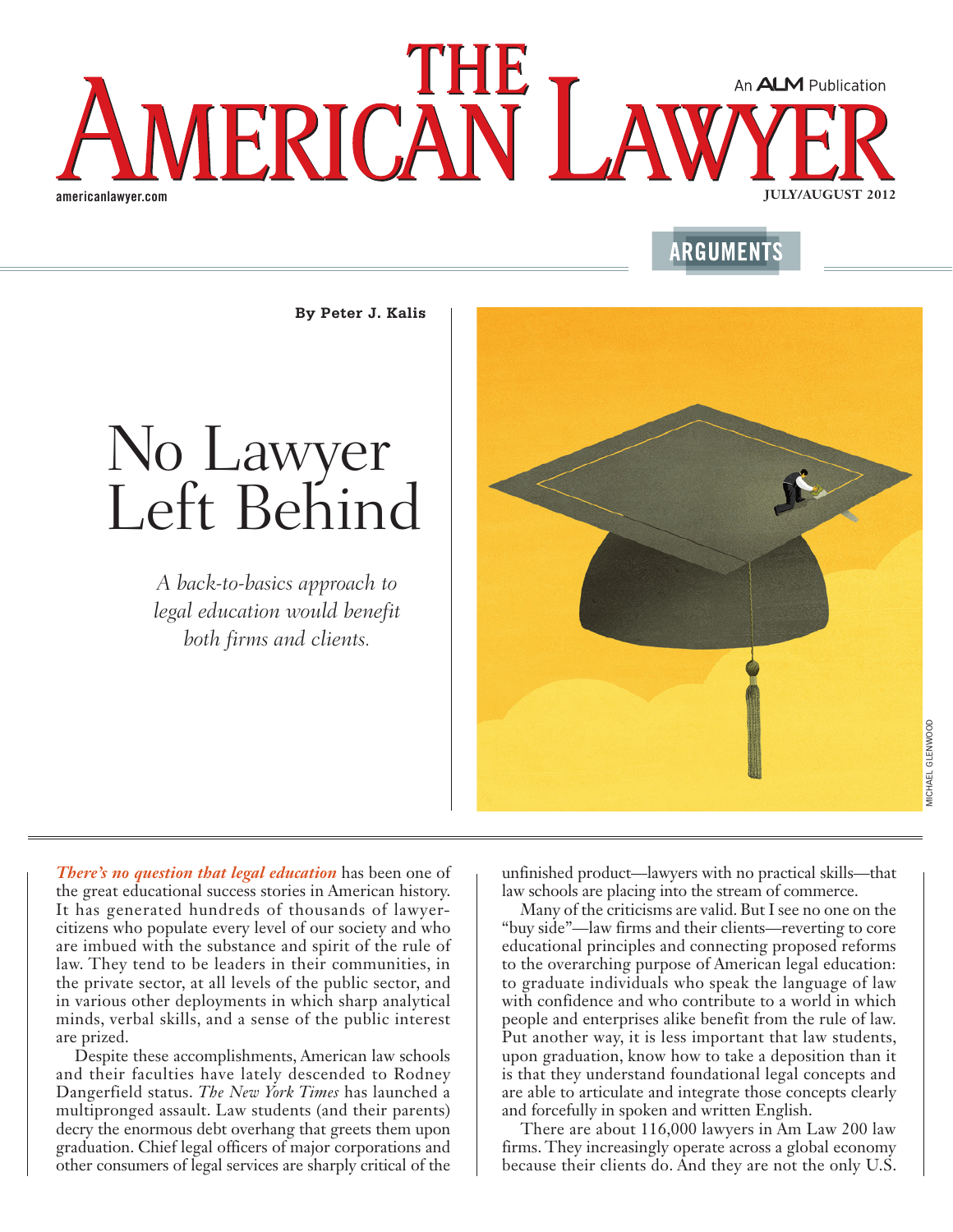## **AMERICAN LAWYER** An **ALM** Publication

## **ARGUMENTS**

**By Peter J. Kalis**

## No Lawyer Left Behind

*A back-to-basics approach to legal education would benefit both firms and clients.*



*There's no question that legal education* has been one of the great educational success stories in American history. It has generated hundreds of thousands of lawyercitizens who populate every level of our society and who are imbued with the substance and spirit of the rule of law. They tend to be leaders in their communities, in the private sector, at all levels of the public sector, and in various other deployments in which sharp analytical minds, verbal skills, and a sense of the public interest are prized.

Despite these accomplishments, American law schools and their faculties have lately descended to Rodney Dangerfield status. *The New York Times* has launched a multipronged assault. Law students (and their parents) decry the enormous debt overhang that greets them upon graduation. Chief legal officers of major corporations and other consumers of legal services are sharply critical of the

unfinished product—lawyers with no practical skills—that law schools are placing into the stream of commerce.

Many of the criticisms are valid. But I see no one on the "buy side"—law firms and their clients—reverting to core educational principles and connecting proposed reforms to the overarching purpose of American legal education: to graduate individuals who speak the language of law with confidence and who contribute to a world in which people and enterprises alike benefit from the rule of law. Put another way, it is less important that law students, upon graduation, know how to take a deposition than it is that they understand foundational legal concepts and are able to articulate and integrate those concepts clearly and forcefully in spoken and written English.

There are about 116,000 lawyers in Am Law 200 law firms. They increasingly operate across a global economy because their clients do. And they are not the only U.S.